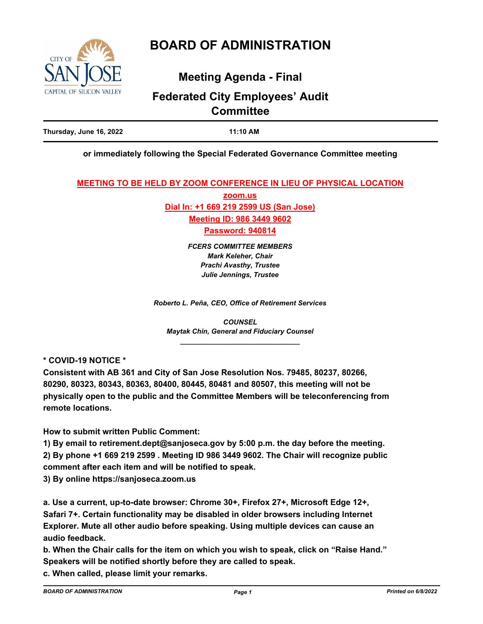

# **BOARD OF ADMINISTRATION**

# **Meeting Agenda - Final**

# **Federated City Employees' Audit Committee**

## **or immediately following the Special Federated Governance Committee meeting**

**MEETING TO BE HELD BY ZOOM CONFERENCE IN LIEU OF PHYSICAL LOCATION**

**zoom.us Dial In: +1 669 219 2599 US (San Jose) Meeting ID: 986 3449 9602 Password: 940814**

> *FCERS COMMITTEE MEMBERS Mark Keleher, Chair Prachi Avasthy, Trustee Julie Jennings, Trustee*

*Roberto L. Peña, CEO, Office of Retirement Services*

*COUNSEL Maytak Chin, General and Fiduciary Counsel \_\_\_\_\_\_\_\_\_\_\_\_\_\_\_\_\_\_\_\_\_\_\_\_\_\_\_\_\_\_\_*

**\* COVID-19 NOTICE \***

**Consistent with AB 361 and City of San Jose Resolution Nos. 79485, 80237, 80266, 80290, 80323, 80343, 80363, 80400, 80445, 80481 and 80507, this meeting will not be physically open to the public and the Committee Members will be teleconferencing from remote locations.**

**How to submit written Public Comment:**

**1) By email to retirement.dept@sanjoseca.gov by 5:00 p.m. the day before the meeting. 2) By phone +1 669 219 2599 . Meeting ID 986 3449 9602. The Chair will recognize public comment after each item and will be notified to speak.**

**3) By online https://sanjoseca.zoom.us**

**a. Use a current, up-to-date browser: Chrome 30+, Firefox 27+, Microsoft Edge 12+, Safari 7+. Certain functionality may be disabled in older browsers including Internet Explorer. Mute all other audio before speaking. Using multiple devices can cause an audio feedback.**

**b. When the Chair calls for the item on which you wish to speak, click on "Raise Hand." Speakers will be notified shortly before they are called to speak.**

**c. When called, please limit your remarks.**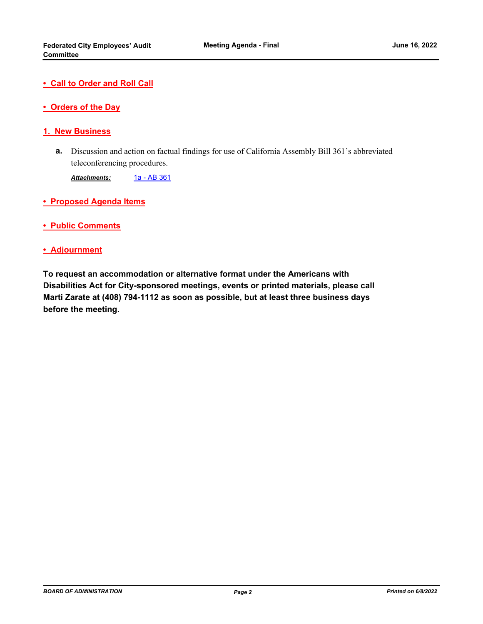- **Call to Order and Roll Call**
- **Orders of the Day**

#### **1. New Business**

Discussion and action on factual findings for use of California Assembly Bill 361's abbreviated **a.** teleconferencing procedures.

Attachments: [1a - AB 361](http://sjrs.legistar.com/gateway.aspx?M=F&ID=0347759b-d80e-4e7b-9af6-fdddcdf0b925.pdf)

- **Proposed Agenda Items**
- **Public Comments**

#### **• Adjournment**

**To request an accommodation or alternative format under the Americans with Disabilities Act for City-sponsored meetings, events or printed materials, please call Marti Zarate at (408) 794-1112 as soon as possible, but at least three business days before the meeting.**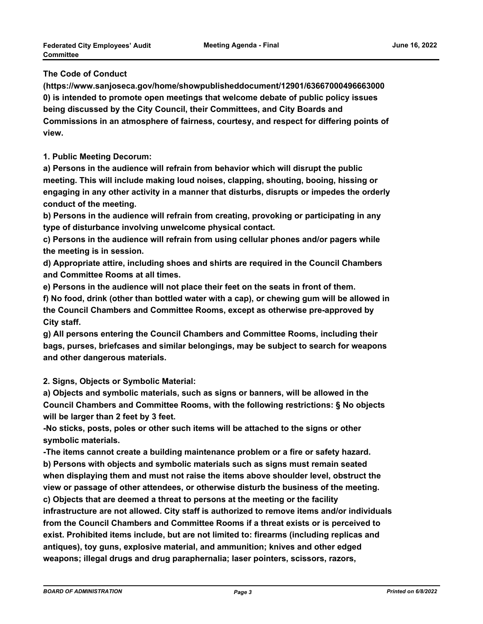## **The Code of Conduct**

**(https://www.sanjoseca.gov/home/showpublisheddocument/12901/63667000496663000 0) is intended to promote open meetings that welcome debate of public policy issues being discussed by the City Council, their Committees, and City Boards and Commissions in an atmosphere of fairness, courtesy, and respect for differing points of view.**

### **1. Public Meeting Decorum:**

**a) Persons in the audience will refrain from behavior which will disrupt the public meeting. This will include making loud noises, clapping, shouting, booing, hissing or engaging in any other activity in a manner that disturbs, disrupts or impedes the orderly conduct of the meeting.**

**b) Persons in the audience will refrain from creating, provoking or participating in any type of disturbance involving unwelcome physical contact.**

**c) Persons in the audience will refrain from using cellular phones and/or pagers while the meeting is in session.**

**d) Appropriate attire, including shoes and shirts are required in the Council Chambers and Committee Rooms at all times.**

**e) Persons in the audience will not place their feet on the seats in front of them.**

**f) No food, drink (other than bottled water with a cap), or chewing gum will be allowed in the Council Chambers and Committee Rooms, except as otherwise pre-approved by City staff.**

**g) All persons entering the Council Chambers and Committee Rooms, including their bags, purses, briefcases and similar belongings, may be subject to search for weapons and other dangerous materials.**

**2. Signs, Objects or Symbolic Material:**

**a) Objects and symbolic materials, such as signs or banners, will be allowed in the Council Chambers and Committee Rooms, with the following restrictions: § No objects will be larger than 2 feet by 3 feet.**

**-No sticks, posts, poles or other such items will be attached to the signs or other symbolic materials.**

**-The items cannot create a building maintenance problem or a fire or safety hazard. b) Persons with objects and symbolic materials such as signs must remain seated when displaying them and must not raise the items above shoulder level, obstruct the view or passage of other attendees, or otherwise disturb the business of the meeting. c) Objects that are deemed a threat to persons at the meeting or the facility infrastructure are not allowed. City staff is authorized to remove items and/or individuals from the Council Chambers and Committee Rooms if a threat exists or is perceived to exist. Prohibited items include, but are not limited to: firearms (including replicas and antiques), toy guns, explosive material, and ammunition; knives and other edged weapons; illegal drugs and drug paraphernalia; laser pointers, scissors, razors,**